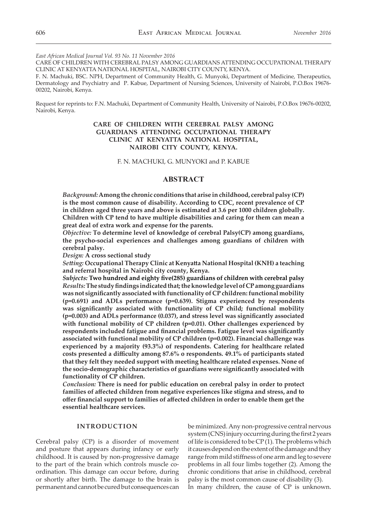*East African Medical Journal Vol. 93 No. 11 November 2016*

CARE OF CHILDREN WITH CEREBRAL PALSY AMONG GUARDIANS ATTENDING OCCUPATIONAL THERAPY CLINIC AT KENYATTA NATIONAL HOSPITAL, NAIROBI CITY COUNTY, KENYA.

F. N. Machuki, BSC. NPH, Department of Community Health, G. Munyoki, Department of Medicine, Therapeutics, Dermatology and Psychiatry and P. Kabue, Department of Nursing Sciences, University of Nairobi, P.O.Box 19676- 00202, Nairobi, Kenya.

Request for reprints to: F.N. Machuki, Department of Community Health, University of Nairobi, P.O.Box 19676-00202, Nairobi, Kenya.

# **CARE OF CHILDREN WITH CEREBRAL PALSY AMONG GUARDIANS ATTENDING OCCUPATIONAL THERAPY CLINIC AT KENYATTA NATIONAL HOSPITAL, NAIROBI CITY COUNTY, KENYA.**

F. N. MACHUKI, G. MUNYOKI and P. KABUE

# **ABSTRACT**

*Background:* **Among the chronic conditions that arise in childhood, cerebral palsy (CP) is the most common cause of disability. According to CDC, recent prevalence of CP in children aged three years and above is estimated at 3.6 per 1000 children globally. Children with CP tend to have multiple disabilities and caring for them can mean a great deal of extra work and expense for the parents.** 

*Objective:* **To determine level of knowledge of cerebral Palsy(CP) among guardians, the psycho-social experiences and challenges among guardians of children with cerebral palsy.** 

*Design:* **A cross sectional study**

*Setting:* **Occupational Therapy Clinic at Kenyatta National Hospital (KNH) a teaching and referral hospital in Nairobi city county, Kenya.** 

*Subjects:* **Two hundred and eighty five(285) guardians of children with cerebral palsy** *Results:* **The study findings indicated that; the knowledge level of CP among guardians was not significantly associated with functionality of CP children: functional mobility (p=0.691) and ADLs performance (p=0.639). Stigma experienced by respondents was significantly associated with functionality of CP child; functional mobility (p=0.003) and ADLs performance (0.037), and stress level was significantly associated with functional mobility of CP children (p=0.01). Other challenges experienced by respondents included fatigue and financial problems. Fatigue level was significantly associated with functional mobility of CP children (p=0.002). Financial challenge was experienced by a majority (93.3%) of respondents. Catering for healthcare related costs presented a difficulty among 87.6% o respondents. 49.1% of participants stated that they felt they needed support with meeting healthcare related expenses. None of the socio-demographic characteristics of guardians were significantly associated with functionality of CP children.** 

*Conclusion:* **There is need for public education on cerebral palsy in order to protect families of affected children from negative experiences like stigma and stress, and to offer financial support to families of affected children in order to enable them get the essential healthcare services.**

### **INTRODUCTION**

Cerebral palsy (CP) is a disorder of movement and posture that appears during infancy or early childhood. It is caused by non-progressive damage to the part of the brain which controls muscle coordination. This damage can occur before, during or shortly after birth. The damage to the brain is permanent and cannot be cured but consequences can be minimized. Any non-progressive central nervous system (CNS) injury occurring during the first 2 years of life is considered to be CP (1). The problems which it causes depend on the extent of the damage and they range from mild stiffness of one arm and leg to severe problems in all four limbs together (2). Among the chronic conditions that arise in childhood, cerebral palsy is the most common cause of disability (3). In many children, the cause of CP is unknown.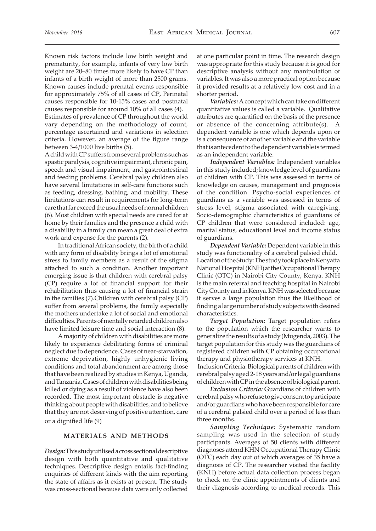Known risk factors include low birth weight and prematurity, for example, infants of very low birth weight are 20–80 times more likely to have CP than infants of a birth weight of more than 2500 grams. Known causes include prenatal events responsible for approximately 75% of all cases of CP, Perinatal causes responsible for 10-15% cases and postnatal causes responsible for around 10% of all cases (4).

Estimates of prevalence of CP throughout the world vary depending on the methodology of count, percentage ascertained and variations in selection criteria. However, an average of the figure range between 3-4/1000 live births (5).

A child with CP suffers from several problems such as spastic paralysis, cognitive impairment, chronic pain, speech and visual impairment, and gastrointestinal and feeding problems. Cerebral palsy children also have several limitations in self-care functions such as feeding, dressing, bathing, and mobility. These limitations can result in requirements for long-term care that far exceed the usual needs of normal children (6). Most children with special needs are cared for at home by their families and the presence a child with a disability in a family can mean a great deal of extra work and expense for the parents (2).

In traditional African society, the birth of a child with any form of disability brings a lot of emotional stress to family members as a result of the stigma attached to such a condition. Another important emerging issue is that children with cerebral palsy (CP) require a lot of financial support for their rehabilitation thus causing a lot of financial strain in the families (7).Children with cerebral palsy (CP) suffer from several problems, the family especially the mothers undertake a lot of social and emotional difficulties. Parents of mentally retarded children also have limited leisure time and social interaction (8).

A majority of children with disabilities are more likely to experience debilitating forms of criminal neglect due to dependence. Cases of near-starvation, extreme deprivation, highly unhygienic living conditions and total abandonment are among those that have been realized by studies in Kenya, Uganda, and Tanzania. Cases of children with disabilities being killed or dying as a result of violence have also been recorded. The most important obstacle is negative thinking about people with disabilities, and to believe that they are not deserving of positive attention, care or a dignified life (9)

## **MATERIALS AND METHODS**

*Design:* This study utilised a cross sectional descriptive design with both quantitative and qualitative techniques. Descriptive design entails fact-finding enquiries of different kinds with the aim reporting the state of affairs as it exists at present. The study was cross-sectional because data were only collected at one particular point in time. The research design was appropriate for this study because it is good for descriptive analysis without any manipulation of variables. It was also a more practical option because it provided results at a relatively low cost and in a shorter period.

*Variables:* A concept which can take on different quantitative values is called a variable. Qualitative attributes are quantified on the basis of the presence or absence of the concerning attribute(s). A dependent variable is one which depends upon or is a consequence of another variable and the variable that is antecedent to the dependent variable is termed as an independent variable.

*Independent Variables:* Independent variables in this study included; knowledge level of guardians of children with CP. This was assessed in terms of knowledge on causes, management and prognosis of the condition. Psycho-social experiences of guardians as a variable was assessed in terms of stress level, stigma associated with caregiving. Socio-demographic characteristics of guardians of CP children that were considered included: age, marital status, educational level and income status of guardians.

*Dependent Variable:* Dependent variable in this study was functionality of a cerebral palsied child. Location of the Study: The study took place in Kenyatta National Hospital (KNH) at the Occupational Therapy Clinic (OTC) in Nairobi City County, Kenya. KNH is the main referral and teaching hospital in Nairobi City County and in Kenya. KNH was selected because it serves a large population thus the likelihood of finding a large number of study subjects with desired characteristics.

*Target Population:* Target population refers to the population which the researcher wants to generalize the results of a study (Mugenda, 2003). The target population for this study was the guardians of registered children with CP obtaining occupational therapy and physiotherapy services at KNH.

 Inclusion Criteria: Biological parents of children with cerebral palsy aged 2-18 years and/or legal guardians of children with CP in the absence of biological parent.

*Exclusion Criteria:* Guardians of children with cerebral palsy who refuse to give consent to participate and/or guardians who have been responsible for care of a cerebral palsied child over a period of less than three months.

*Sampling Technique:* Systematic random sampling was used in the selection of study participants. Averages of 50 clients with different diagnoses attend KHN Occupational Therapy Clinic (OTC) each day out of which averages of 35 have a diagnosis of CP. The researcher visited the facility (KNH) before actual data collection process began to check on the clinic appointments of clients and their diagnosis according to medical records. This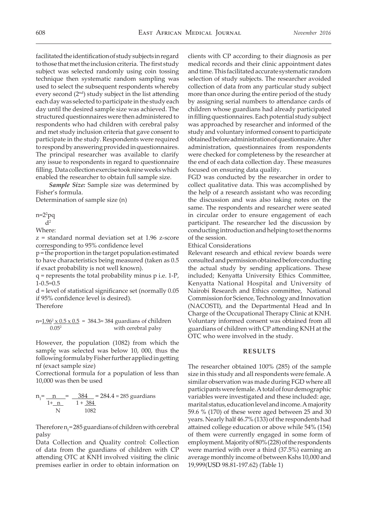facilitated the identification of study subjects in regard to those that met the inclusion criteria. The first study subject was selected randomly using coin tossing technique then systematic random sampling was used to select the subsequent respondents whereby every second (2nd) study subject in the list attending each day was selected to participate in the study each day until the desired sample size was achieved. The structured questionnaires were then administered to respondents who had children with cerebral palsy and met study inclusion criteria that gave consent to participate in the study. Respondents were required to respond by answering provided in questionnaires. The principal researcher was available to clarify any issue to respondents in regard to questionnaire filling. Data collection exercise took nine weeks which enabled the researcher to obtain full sample size.

*Sample Size:* Sample size was determined by Fisher's formula.

Determination of sample size (n)

n=2<sup>2</sup> pq

 $d<sup>2</sup>$ Where:

z = standard normal deviation set at 1.96 z-score corresponding to 95% confidence level

p = the proportion in the target population estimated to have characteristics being measured (taken as 0.5 if exact probability is not well known).

 $q$  = represents the total probability minus  $p$  i.e. 1- $P$ , 1-0.5=0.5

d = level of statistical significance set (normally 0.05 if 95% confidence level is desired). Therefore

n=<u>1.96<sup>2</sup> x 0.5 x 0.5</u> = 384.3≈ 384 guardians of children  $0.05<sup>2</sup>$  with cerebral palsy

However, the population (1082) from which the sample was selected was below 10, 000, thus the following formula by Fisher further applied in getting nf (exact sample size)

Correctional formula for a population of less than 10,000 was then be used

$$
n_1 = \frac{n}{1 + \frac{n}{N}} = \frac{384}{1 + \frac{384}{1082}} = 284.4 \approx 285
$$
 guarantees

Therefore  $n_f$  = 285 guardians of children with cerebral palsy

Data Collection and Quality control: Collection of data from the guardians of children with CP attending OTC at KNH involved visiting the clinic premises earlier in order to obtain information on

clients with CP according to their diagnosis as per medical records and their clinic appointment dates and time. This facilitated accurate systematic random selection of study subjects. The researcher avoided collection of data from any particular study subject more than once during the entire period of the study by assigning serial numbers to attendance cards of children whose guardians had already participated in filling questionnaires. Each potential study subject was approached by researcher and informed of the study and voluntary informed consent to participate obtained before administration of questionnaire. After administration, questionnaires from respondents were checked for completeness by the researcher at the end of each data collection day. These measures focused on ensuring data quality.

FGD was conducted by the researcher in order to collect qualitative data. This was accomplished by the help of a research assistant who was recording the discussion and was also taking notes on the same. The respondents and researcher were seated in circular order to ensure engagement of each participant. The researcher led the discussion by conducting introduction and helping to set the norms of the session.

Ethical Considerations

Relevant research and ethical review boards were consulted and permission obtained before conducting the actual study by sending applications. These included; Kenyatta University Ethics Committee, Kenyatta National Hospital and University of Nairobi Research and Ethics committee, National Commission for Science, Technology and Innovation (NACOSTI), and the Departmental Head and In Charge of the Occupational Therapy Clinic at KNH. Voluntary informed consent was obtained from all guardians of children with CP attending KNH at the OTC who were involved in the study.

#### **RESULTS**

The researcher obtained 100% (285) of the sample size in this study and all respondents were female. A similar observation was made during FGD where all participants were female. A total of four demographic variables were investigated and these included: age, marital status, education level and income. A majority 59.6 % (170) of these were aged between 25 and 30 years. Nearly half 46.7% (133) of the respondents had attained college education or above while 54% (154) of them were currently engaged in some form of employment. Majority of 80% (228) of the respondents were married with over a third (37.5%) earning an average monthly income of between Kshs 10,000 and 19,999(USD 98.81-197.62) (Table 1)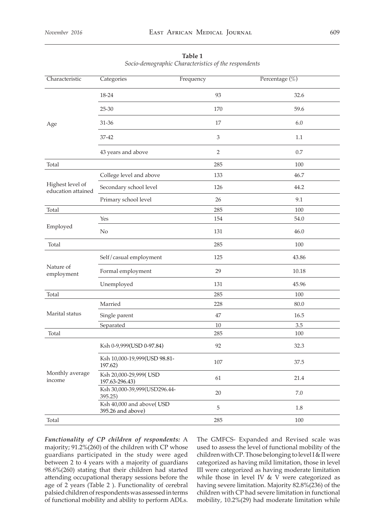| Characteristic                         | Categories                                    | Frequency                   | Percentage (%) |
|----------------------------------------|-----------------------------------------------|-----------------------------|----------------|
|                                        | 18-24                                         | 93                          | 32.6           |
|                                        | 25-30                                         | 170                         | 59.6           |
| Age                                    | 31-36                                         | 17                          | 6.0            |
|                                        | 37-42                                         | $\ensuremath{\mathfrak{Z}}$ | 1.1            |
|                                        | 43 years and above                            | 2                           | 0.7            |
| Total                                  |                                               | 285                         | 100            |
|                                        | College level and above                       | 133                         | 46.7           |
| Highest level of<br>education attained | Secondary school level                        | 126                         | 44.2           |
|                                        | Primary school level                          | 26                          | 9.1            |
| Total                                  |                                               | 285                         | 100            |
|                                        | Yes                                           | 154                         | 54.0           |
| Employed                               | No                                            | 131                         | 46.0           |
| Total                                  |                                               | 285                         | 100            |
|                                        | Self/casual employment                        | 125                         | 43.86          |
| Nature of<br>employment                | Formal employment                             | 29                          | 10.18          |
|                                        | Unemployed                                    | 131                         | 45.96          |
| Total                                  |                                               | 285                         | 100            |
|                                        | Married                                       | 228                         | 80.0           |
| Marital status                         | Single parent                                 | 47                          | 16.5           |
|                                        | Separated                                     | $10\,$                      | 3.5            |
| Total                                  |                                               | 285                         | 100            |
|                                        | Ksh 0-9,999(USD 0-97.84)                      | 92                          | 32.3           |
|                                        | Ksh 10,000-19,999(USD 98.81-<br>197.62)       | 107                         | 37.5           |
| Monthly average<br>income              | Ksh 20,000-29,999(USD<br>197.63-296.43)       | 61                          | 21.4           |
|                                        | Ksh 30,000-39,999(USD296.44-<br>395.25)       | $20\,$                      | $7.0\,$        |
|                                        | Ksh 40,000 and above(USD<br>395.26 and above) | $\mathbf 5$                 | 1.8            |
| Total                                  |                                               | 285                         | 100            |

**Table 1** *Socio-demographic Characteristics of the respondents*

*Functionality of CP children of respondents:* A majority; 91.2%(260) of the children with CP whose guardians participated in the study were aged between 2 to 4 years with a majority of guardians 98.6%(260) stating that their children had started attending occupational therapy sessions before the age of 2 years (Table 2 ). Functionality of cerebral palsied children of respondents was assessed in terms of functional mobility and ability to perform ADLs.

The GMFCS- Expanded and Revised scale was used to assess the level of functional mobility of the children with CP. Those belonging to level I & II were categorized as having mild limitation, those in level III were categorized as having moderate limitation while those in level IV & V were categorized as having severe limitation. Majority 82.8%(236) of the children with CP had severe limitation in functional mobility, 10.2%(29) had moderate limitation while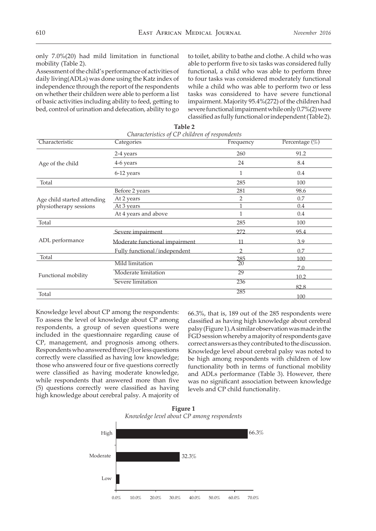only 7.0%(20) had mild limitation in functional mobility (Table 2).

Assessment of the child's performance of activities of daily living(ADLs) was done using the Katz index of independence through the report of the respondents on whether their children were able to perform a list of basic activities including ability to feed, getting to bed, control of urination and defecation, ability to go

to toilet, ability to bathe and clothe. A child who was able to perform five to six tasks was considered fully functional, a child who was able to perform three to four tasks was considered moderately functional while a child who was able to perform two or less tasks was considered to have severe functional impairment. Majority 95.4%(272) of the children had severe functional impairment while only 0.7%(2) were classified as fully functional or independent (Table 2).

| Characteristic              | Characteristics of CP children of respondents<br>Categories | Frequency | Percentage $(\%)$ |
|-----------------------------|-------------------------------------------------------------|-----------|-------------------|
|                             |                                                             |           |                   |
|                             | 2-4 years                                                   | 260       | 91.2              |
| Age of the child            | 4-6 years                                                   | 24        | 8.4               |
|                             | 6-12 years                                                  | 1         | 0.4               |
| Total                       |                                                             | 285       | 100               |
|                             | Before 2 years                                              | 281       | 98.6              |
| Age child started attending | At 2 years                                                  | 2         | 0.7               |
| physiotherapy sessions      | At 3 years                                                  | 1         | 0.4               |
|                             | At 4 years and above                                        | 1         | 0.4               |
| Total                       |                                                             | 285       | 100               |
|                             | Severe impairment                                           | 272       | 95.4              |
| ADL performance             | Moderate functional impairment                              | 11        | 3.9               |
|                             | Fully functional/independent                                | C         | 07                |
| Total                       |                                                             | 285       | 100               |
|                             | <b>Mild limitation</b>                                      | 20        | 7.0               |
| Functional mobility         | Moderate limitation                                         | 29        | 10.2              |
|                             | Severe limitation                                           | 236       | 82.8              |
| Total                       |                                                             | 285       | 100               |

**Table 2** 

Knowledge level about CP among the respondents: To assess the level of knowledge about CP among respondents, a group of seven questions were included in the questionnaire regarding cause of CP, management, and prognosis among others. Respondents who answered three (3) or less questions correctly were classified as having low knowledge; those who answered four or five questions correctly were classified as having moderate knowledge, while respondents that answered more than five (5) questions correctly were classified as having high knowledge about cerebral palsy. A majority of

66.3%, that is, 189 out of the 285 respondents were classified as having high knowledge about cerebral palsy (Figure 1).A similar observation was made in the FGD session whereby a majority of respondents gave correct answers as they contributed to the discussion. Knowledge level about cerebral palsy was noted to be high among respondents with children of low functionality both in terms of functional mobility and ADLs performance (Table 3). However, there was no significant association between knowledge levels and CP child functionality.

**Figure 1** *Knowledge level about CP among respondents*

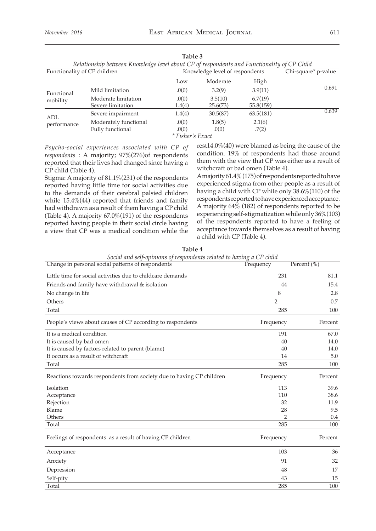| Relationship between Knowledge level about CP of respondents and Functionality of CP Child |                                                                                                                                      |                     |                                         |                                |  |  |  |
|--------------------------------------------------------------------------------------------|--------------------------------------------------------------------------------------------------------------------------------------|---------------------|-----------------------------------------|--------------------------------|--|--|--|
| Functionality of CP children                                                               |                                                                                                                                      |                     | Chi-square* p-value                     |                                |  |  |  |
|                                                                                            | Low                                                                                                                                  | Moderate            | High                                    |                                |  |  |  |
|                                                                                            | .0(0)                                                                                                                                | 3.2(9)              | 3.9(11)                                 | 0.691                          |  |  |  |
|                                                                                            | .0(0)<br>1.4(4)                                                                                                                      | 3.5(10)<br>25.6(73) | 6.7(19)<br>55.8(159)                    |                                |  |  |  |
|                                                                                            | 1.4(4)                                                                                                                               | 30.5(87)            | 63.5(181)                               | 0.639                          |  |  |  |
|                                                                                            | .0(0)                                                                                                                                | 1.8(5)              | 2.1(6)                                  |                                |  |  |  |
|                                                                                            | .0(0)                                                                                                                                | .0(0)               | .7(2)                                   |                                |  |  |  |
|                                                                                            | Mild limitation<br>Moderate limitation<br>Severe limitation<br>Severe impairment<br>Moderately functional<br><b>Fully functional</b> |                     | $*$ $\Gamma$ $\Gamma$ $\Gamma$ $\Gamma$ | Knowledge level of respondents |  |  |  |

**Table 3**

*\* Fisher's Exact*

*Psycho-social experiences associated with CP of respondents* : A majority; 97%(276)of respondents reported that their lives had changed since having a CP child (Table 4).

Stigma: A majority of 81.1%(231) of the respondents reported having little time for social activities due to the demands of their cerebral palsied children while 15.4%(44) reported that friends and family had withdrawn as a result of them having a CP child (Table 4). A majority 67.0%(191) of the respondents reported having people in their social circle having a view that CP was a medical condition while the

rest14.0%(40) were blamed as being the cause of the condition. 19% of respondents had those around them with the view that CP was either as a result of witchcraft or bad omen (Table 4).

A majority 61.4% (175) of respondents reported to have experienced stigma from other people as a result of having a child with CP while only 38.6%(110) of the respondents reported to have experienced acceptance. A majority 64% (182) of respondents reported to be experiencing self-stigmatization while only 36%(103) of the respondents reported to have a feeling of acceptance towards themselves as a result of having a child with CP (Table 4).

| social and scrp openhone of respondence returned to nuclearly<br>Change in personal social patterns of respondents | Frequency      | Percent $(\%)$ |
|--------------------------------------------------------------------------------------------------------------------|----------------|----------------|
| Little time for social activities due to childcare demands                                                         | 231            | 81.1           |
| Friends and family have withdrawal & isolation                                                                     | 44             | 15.4           |
| No change in life                                                                                                  | 8              | 2.8            |
| Others                                                                                                             | $\overline{2}$ | 0.7            |
| Total                                                                                                              | 285            | 100            |
| People's views about causes of CP according to respondents                                                         | Frequency      | Percent        |
| It is a medical condition                                                                                          | 191            | 67.0           |
| It is caused by bad omen                                                                                           | 40             | 14.0           |
| It is caused by factors related to parent (blame)                                                                  | 40             | 14.0           |
| It occurs as a result of witchcraft                                                                                | 14             | 5.0            |
| Total                                                                                                              | 285            | 100            |
| Reactions towards respondents from society due to having CP children                                               | Frequency      | Percent        |
| Isolation                                                                                                          | 113            | 39.6           |
| Acceptance                                                                                                         | 110            | 38.6           |
| Rejection                                                                                                          | 32             | 11.9           |
| Blame                                                                                                              | 28             | 9.5            |
| Others                                                                                                             | 2              | 0.4            |
| Total                                                                                                              | 285            | 100            |
| Feelings of respondents as a result of having CP children                                                          | Frequency      | Percent        |
| Acceptance                                                                                                         | 103            | 36             |
| Anxiety                                                                                                            | 91             | 32             |
| Depression                                                                                                         | 48             | 17             |
| Self-pity                                                                                                          | 43             | 15             |
| Total                                                                                                              | 285            | 100            |

**Table 4** *Social and self-opinions of respondents related to having a CP child*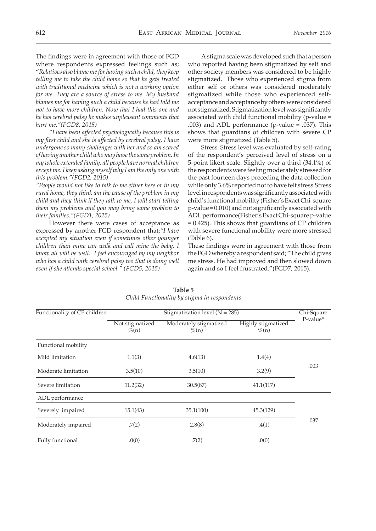The findings were in agreement with those of FGD where respondents expressed feelings such as; "*Relatives also blame me for having such a child, they keep telling me to take the child home so that he gets treated with traditional medicine which is not a working option for me. They are a source of stress to me. My husband blames me for having such a child because he had told me not to have more children. Now that I had this one and he has cerebral palsy he makes unpleasant comments that hurt me."(FGD8, 2015)*

 *"I have been affected psychologically because this is my first child and she is affected by cerebral palsy, I have undergone so many challenges with her and so am scared of having another child who may have the same problem. In my whole extended family, all people have normal children except me. I keep asking myself why I am the only one with this problem."(FGD2, 2015)*

*"People would not like to talk to me either here or in my rural home, they think am the cause of the problem in my child and they think if they talk to me, I will start telling them my problems and you may bring same problem to their families."(FGD1, 2015)*

However there were cases of acceptance as expressed by another FGD respondent that;*"I have accepted my situation even if sometimes other younger children than mine can walk and call mine the baby, I know all will be well. I feel encouraged by my neighbor*  who has a child with cerebral palsy too that is doing well *even if she attends special school." (FGD5, 2015)*

A stigma scale was developed such that a person who reported having been stigmatized by self and other society members was considered to be highly stigmatized. Those who experienced stigma from either self or others was considered moderately stigmatized while those who experienced selfacceptance and acceptance by others were considered not stigmatized. Stigmatization level was significantly associated with child functional mobility (p-value = .003) and ADL performance (p-value = .037). This shows that guardians of children with severe CP were more stigmatized (Table 5).

Stress: Stress level was evaluated by self-rating of the respondent's perceived level of stress on a 5-point likert scale. Slightly over a third (34.1%) of the respondents were feeling moderately stressed for the past fourteen days preceding the data collection while only 3.6% reported not to have felt stress.Stress level in respondents was significantly associated with child's functional mobility (Fisher's Exact Chi-square p-value = 0.010) and not significantly associated with ADL performance(Fisher's Exact Chi-square p-value = 0.425). This shows that guardians of CP children with severe functional mobility were more stressed (Table 6).

These findings were in agreement with those from the FGD whereby a respondent said; "The child gives me stress. He had improved and then slowed down again and so I feel frustrated."(FGD7, 2015).

| Functionality of CP children |                             | Chi-Square                         |                                       |          |
|------------------------------|-----------------------------|------------------------------------|---------------------------------------|----------|
|                              | Not stigmatized<br>$\%$ (n) | Moderately stigmatized<br>$\%$ (n) | <b>Highly</b> stigmatized<br>$\%$ (n) | P-value* |
| Functional mobility          |                             |                                    |                                       |          |
| Mild limitation              | 1.1(3)                      | 4.6(13)                            | 1.4(4)                                |          |
| Moderate limitation          | 3.5(10)                     | 3.5(10)                            | 3.2(9)                                | .003     |
| Severe limitation            | 11.2(32)                    | 30.5(87)                           | 41.1(117)                             |          |
| ADL performance              |                             |                                    |                                       |          |
| Severely impaired            | 15.1(43)                    | 35.1(100)                          | 45.3(129)                             |          |
| Moderately impaired          | .7(2)                       | 2.8(8)                             | .4(1)                                 | .037     |
| Fully functional             | .0(0)                       | .7(2)                              | .0(0)                                 |          |

**Table 5**  *Child Functionality by stigma in respondents*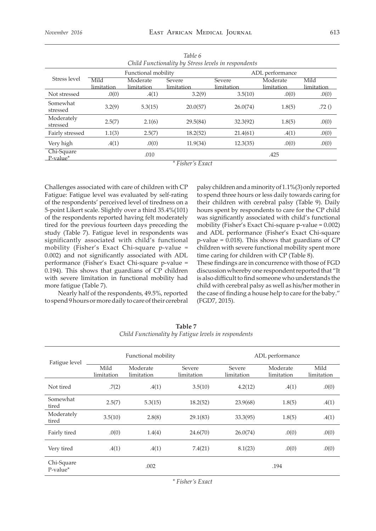| Child Functionality by Stress levels in respondents |                    |                        |                      |                      |                        |                    |
|-----------------------------------------------------|--------------------|------------------------|----------------------|----------------------|------------------------|--------------------|
|                                                     |                    | Functional mobility    |                      |                      | ADL performance        |                    |
| Stress level                                        | Mild<br>limitation | Moderate<br>limitation | Severe<br>limitation | Severe<br>limitation | Moderate<br>limitation | Mild<br>limitation |
| Not stressed                                        | .0(0)              | .4(1)                  | 3.2(9)               | 3.5(10)              | .0(0)                  | .0(0)              |
| Somewhat<br>stressed                                | 3.2(9)             | 5.3(15)                | 20.0(57)             | 26.0(74)             | 1.8(5)                 | .72()              |
| Moderately<br>stressed                              | 2.5(7)             | 2.1(6)                 | 29.5(84)             | 32.3(92)             | 1.8(5)                 | .0(0)              |
| Fairly stressed                                     | 1.1(3)             | 2.5(7)                 | 18.2(52)             | 21.4(61)             | .4(1)                  | .0(0)              |
| Very high                                           | .4(1)              | .0(0)                  | 11.9(34)             | 12.3(35)             | .0(0)                  | .0(0)              |
| Chi-Square<br>.010<br>$P-value^*$                   |                    |                        | .425                 |                      |                        |                    |
| * Fisher's Exact                                    |                    |                        |                      |                      |                        |                    |

*Table 6*

Challenges associated with care of children with CP Fatigue: Fatigue level was evaluated by self-rating of the respondents' perceived level of tiredness on a 5-point Likert scale. Slightly over a third 35.4%(101) of the respondents reported having felt moderately tired for the previous fourteen days preceding the study (Table 7). Fatigue level in respondents was significantly associated with child's functional mobility (Fisher's Exact Chi-square p-value = 0.002) and not significantly associated with ADL performance (Fisher's Exact Chi-square p-value = 0.194). This shows that guardians of CP children with severe limitation in functional mobility had

more fatigue (Table 7). Nearly half of the respondents, 49.5%, reported to spend 9 hours or more daily to care of their cerebral palsy children and a minority of 1.1%(3) only reported to spend three hours or less daily towards caring for their children with cerebral palsy (Table 9). Daily hours spent by respondents to care for the CP child was significantly associated with child's functional mobility (Fisher's Exact Chi-square p-value = 0.002) and ADL performance (Fisher's Exact Chi-square p-value = 0.018). This shows that guardians of CP children with severe functional mobility spent more time caring for children with CP (Table 8).

These findings are in concurrence with those of FGD discussion whereby one respondent reported that "It is also difficult to find someone who understands the child with cerebral palsy as well as his/her mother in the case of finding a house help to care for the baby." (FGD7, 2015).

|                           |                                                                      | Functional mobility |          | ADL performance                                                      |        |       |  |
|---------------------------|----------------------------------------------------------------------|---------------------|----------|----------------------------------------------------------------------|--------|-------|--|
| Fatigue level             | Mild<br>Moderate<br>Severe<br>limitation<br>limitation<br>limitation |                     |          | Mild<br>Moderate<br>Severe<br>limitation<br>limitation<br>limitation |        |       |  |
| Not tired                 | .7(2)                                                                | .4(1)               | 3.5(10)  | 4.2(12)                                                              | .4(1)  | .0(0) |  |
| Somewhat<br>tired         | 2.5(7)                                                               | 5.3(15)             | 18.2(52) | 23.9(68)                                                             | 1.8(5) | .4(1) |  |
| Moderately<br>tired       | 3.5(10)                                                              | 2.8(8)              | 29.1(83) | 33.3(95)                                                             | 1.8(5) | .4(1) |  |
| Fairly tired              | .0(0)                                                                | 1.4(4)              | 24.6(70) | 26.0(74)                                                             | .0(0)  | .0(0) |  |
| Very tired                | .4(1)                                                                | .4(1)               | 7.4(21)  | 8.1(23)                                                              | .0(0)  | .0(0) |  |
| Chi-Square<br>$P-value^*$ |                                                                      | .002                |          |                                                                      | .194   |       |  |

**Table 7** *Child Functionality by Fatigue levels in respondents*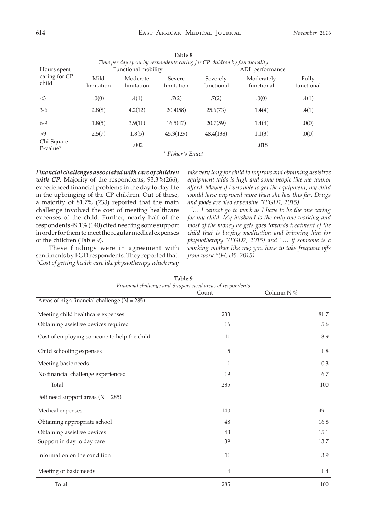|                              |                                                                      |                     |                        | Time per day spent by respondents caring for CP children by functionality |                 |       |
|------------------------------|----------------------------------------------------------------------|---------------------|------------------------|---------------------------------------------------------------------------|-----------------|-------|
| Hours spent                  |                                                                      | Functional mobility |                        |                                                                           | ADL performance |       |
| caring for CP<br>child       | Mild<br>Moderate<br>Severe<br>limitation<br>limitation<br>limitation |                     | Severely<br>functional | Moderately<br>functional                                                  |                 |       |
| $\leq$ 3                     | .0(0)                                                                | .4(1)               | .7(2)                  | .7(2)                                                                     | .0(0)           | .4(1) |
| $3-6$                        | 2.8(8)                                                               | 4.2(12)             | 20.4(58)               | 25.6(73)                                                                  | 1.4(4)          | .4(1) |
| $6 - 9$                      | 1.8(5)                                                               | 3.9(11)             | 16.5(47)               | 20.7(59)                                                                  | 1.4(4)          | .0(0) |
| >9                           | 2.5(7)                                                               | 1.8(5)              | 45.3(129)              | 48.4(138)                                                                 | 1.1(3)          | .0(0) |
| Chi-Square<br>$P$ -value $*$ |                                                                      | .002                |                        |                                                                           | .018            |       |
| $*$ Fisher's Exact           |                                                                      |                     |                        |                                                                           |                 |       |

**Table 8** 

*Financial challenges associated with care of children with CP:* Majority of the respondents, 93.3%(266), experienced financial problems in the day to day life in the upbringing of the CP children. Out of these, a majority of 81.7% (233) reported that the main challenge involved the cost of meeting healthcare expenses of the child. Further, nearly half of the respondents 49.1% (140) cited needing some support in order for them to meet the regular medical expenses of the children (Table 9).

These findings were in agreement with sentiments by FGD respondents. They reported that: *"Cost of getting health carelike physiotherapy which may*

*take very long for child to improve and obtaining assistive equipment /aids is high and some people like me cannot afford. Maybe if I was able to get the equipment, my child would have improved more than she has this far. Drugs and foods are also expensive."(FGD1, 2015)*

*"… I cannot go to work as I have to be the one caring for my child. My husband is the only one working and most of the money he gets goes towards treatment of the child that is buying medication and bringing him for physiotherapy."(FGD7, 2015) and "… if someone is a working mother like me; you have to take frequent offs from work."(FGD5, 2015)*

| Financial challenge and Support need areas of respondents |                |              |  |  |  |
|-----------------------------------------------------------|----------------|--------------|--|--|--|
|                                                           | Count          | Column N $%$ |  |  |  |
| Areas of high financial challenge ( $N = 285$ )           |                |              |  |  |  |
| Meeting child healthcare expenses                         | 233            | 81.7         |  |  |  |
| Obtaining assistive devices required                      | 16             | 5.6          |  |  |  |
| Cost of employing someone to help the child               | 11             | 3.9          |  |  |  |
| Child schooling expenses                                  | 5              | 1.8          |  |  |  |
| Meeting basic needs                                       | $\mathbf{1}$   | 0.3          |  |  |  |
| No financial challenge experienced                        | 19             | 6.7          |  |  |  |
| Total                                                     | 285            | 100          |  |  |  |
| Felt need support areas $(N = 285)$                       |                |              |  |  |  |
| Medical expenses                                          | 140            | 49.1         |  |  |  |
| Obtaining appropriate school                              | 48             | 16.8         |  |  |  |
| Obtaining assistive devices                               | 43             | 15.1         |  |  |  |
| Support in day to day care                                | 39             | 13.7         |  |  |  |
| Information on the condition                              | 11             | 3.9          |  |  |  |
| Meeting of basic needs                                    | $\overline{4}$ | 1.4          |  |  |  |
| Total                                                     | 285            | 100          |  |  |  |

| Table 9                                                   |
|-----------------------------------------------------------|
| Financial challenge and Support need areas of respondents |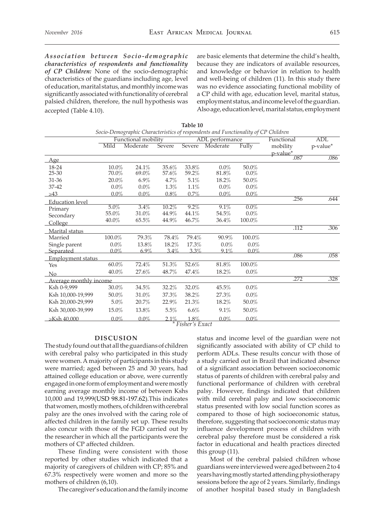*Association between Socio-demographic characteristics of respondents and functionality of CP Children:* None of the socio-demographic characteristics of the guardians including age, level of education, marital status, and monthly income was significantly associated with functionality of cerebral palsied children, therefore, the null hypothesis was accepted (Table 4.10).

are basic elements that determine the child's health, because they are indicators of available resources, and knowledge or behavior in relation to health and well-being of children (11). In this study there was no evidence associating functional mobility of a CP child with age, education level, marital status, employment status, and income level of the guardian. Also age, education level, marital status, employment

|                        |         |                     |          |                | Socio-Demographic Characteristics of respondents and Functionality of CP Children |         |            |            |
|------------------------|---------|---------------------|----------|----------------|-----------------------------------------------------------------------------------|---------|------------|------------|
|                        |         | Functional mobility |          |                | ADL performance                                                                   |         | Functional | <b>ADL</b> |
|                        | Mild    | Moderate            | Severe   | Severe         | Moderate                                                                          | Fully   | mobility   | p-value*   |
|                        |         |                     |          |                |                                                                                   |         | p-value*   |            |
| Age                    |         |                     |          |                |                                                                                   |         | .087       | .086       |
| 18-24                  | 10.0%   | 24.1%               | 35.6%    | 33.8%          | $0.0\%$                                                                           | 50.0%   |            |            |
| $25 - 30$              | 70.0%   | 69.0%               | 57.6%    | 59.2%          | 81.8%                                                                             | $0.0\%$ |            |            |
| 31-36                  | 20.0%   | 6.9%                | 4.7%     | 5.1%           | 18.2%                                                                             | 50.0%   |            |            |
| 37-42                  | $0.0\%$ | $0.0\%$             | 1.3%     | 1.1%           | $0.0\%$                                                                           | $0.0\%$ |            |            |
| $\geq 43$              | $0.0\%$ | $0.0\%$             | 0.8%     | 0.7%           | $0.0\%$                                                                           | $0.0\%$ |            |            |
| <b>Education</b> level |         |                     |          |                |                                                                                   |         | .256       | .644       |
| Primary                | 5.0%    | 3.4%                | $10.2\%$ | $9.2\%$        | 9.1%                                                                              | $0.0\%$ |            |            |
| Secondary              | 55.0%   | 31.0%               | 44.9%    | 44.1%          | 54.5%                                                                             | $0.0\%$ |            |            |
| College                | 40.0%   | 65.5%               | 44.9%    | 46.7%          | 36.4%                                                                             | 100.0%  |            |            |
| Marital status         |         |                     |          |                |                                                                                   |         | .112       | .306       |
| Married                | 100.0%  | 79.3%               | 78.4%    | 79.4%          | 90.9%                                                                             | 100.0%  |            |            |
| Single parent          | $0.0\%$ | 13.8%               | 18.2%    | 17.3%          | $0.0\%$                                                                           | $0.0\%$ |            |            |
| Separated              | $0.0\%$ | $6.9\%$             | $3.4\%$  | 3.3%           | 9.1%                                                                              | $0.0\%$ |            |            |
| Employment status      |         |                     |          |                |                                                                                   |         | .086       | .058       |
| Yes                    | 60.0%   | 72.4%               | 51.3%    | 52.6%          | 81.8%                                                                             | 100.0%  |            |            |
| No                     | 40.0%   | 27.6%               | 48.7%    | 47.4%          | 18.2%                                                                             | $0.0\%$ |            |            |
| Average monthly income |         |                     |          |                |                                                                                   |         | .272       | .328       |
| Ksh 0-9,999            | 30.0%   | 34.5%               | 32.2%    | 32.0%          | 45.5%                                                                             | $0.0\%$ |            |            |
| Ksh 10,000-19,999      | 50.0%   | 31.0%               | 37.3%    | 38.2%          | 27.3%                                                                             | $0.0\%$ |            |            |
| Ksh 20,000-29,999      | 5.0%    | 20.7%               | 22.9%    | 21.3%          | 18.2%                                                                             | 50.0%   |            |            |
| Ksh 30,000-39,999      | 15.0%   | 13.8%               | 5.5%     | 6.6%           | 9.1%                                                                              | 50.0%   |            |            |
| $\ge$ Ksh 40.000       | $0.0\%$ | $0.0\%$             | 2.1%     | 1.8%           | $0.0\%$                                                                           | $0.0\%$ |            |            |
|                        |         |                     |          | Fisher's Exact |                                                                                   |         |            |            |

**Table 10**

#### **DISCUSION**

The study found out that all the guardians of children with cerebral palsy who participated in this study were women. A majority of participants in this study were married; aged between 25 and 30 years, had attained college education or above, were currently engaged in one form of employment and were mostly earning average monthly income of between Kshs 10,000 and 19,999(USD 98.81-197.62).This indicates that women, mostly mothers, of children with cerebral palsy are the ones involved with the caring role of affected children in the family set up. These results also concur with those of the FGD carried out by the researcher in which all the participants were the mothers of CP affected children.

These finding were consistent with those reported by other studies which indicated that a majority of caregivers of children with CP; 85% and 67.3% respectively were women and more so the mothers of children (6,10).

The caregiver's education and the family income

status and income level of the guardian were not significantly associated with ability of CP child to perform ADLs. These results concur with those of a study carried out in Brazil that indicated absence of a significant association between socioeconomic status of parents of children with cerebral palsy and functional performance of children with cerebral palsy. However, findings indicated that children with mild cerebral palsy and low socioeconomic status presented with low social function scores as compared to those of high socioeconomic status, therefore, suggesting that socioeconomic status may influence development process of children with cerebral palsy therefore must be considered a risk factor in educational and health practices directed this group (11).

Most of the cerebral palsied children whose guardians were interviewed were aged between 2 to 4 years having mostly started attending physiotherapy sessions before the age of 2 years. Similarly, findings of another hospital based study in Bangladesh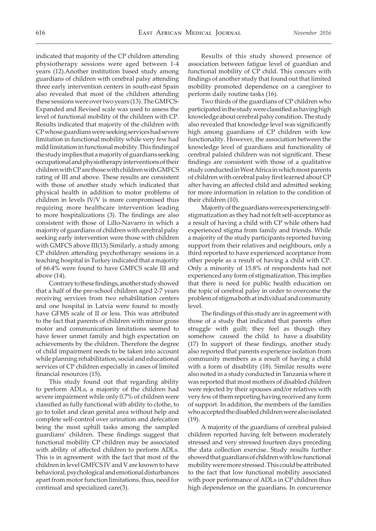indicated that majority of the CP children attending physiotherapy sessions were aged between 1-4 years (12).Another institution based study among guardians of children with cerebral palsy attending three early intervention centers in south-east Spain also revealed that most of the children attending these sessions were over two years (13). The GMFCS-Expanded and Revised scale was used to assess the level of functional mobility of the children with CP. Results indicated that majority of the children with CP whose guardians were seeking services had severe limitation in functional mobility while very few had mild limitation in functional mobility.This finding of the study implies that a majority of guardians seeking occupational and physiotherapy interventions of their children with CP are those with children with GMFCS rating of III and above. These results are consistent with those of another study which indicated that physical health in addition to motor problems of children in levels IV/V is more compromised thus requiring more healthcare intervention leading to more hospitalizations (3). The findings are also consistent with those of Lillo-Navarro in which a majority of guardians of children with cerebral palsy seeking early intervention were those with children with GMFCS above III(13).Similarly, a study among CP children attending psychotherapy sessions in a teaching hospital in Turkey indicated that a majority of 66.4% were found to have GMFCS scale III and above (14).

Contrary to these findings, another study showed that a half of the pre-school children aged 2-7 years receiving services from two rehabilitation centers and one hospital in Latvia were found to mostly have GFMS scale of II or less. This was attributed to the fact that parents of children with minor gross motor and communication limitations seemed to have fewer unmet family and high expectation on achievements by the children. Therefore the degree of child impairment needs to be taken into account while planning rehabilitation, social and educational services of CP children especially in cases of limited financial resources (15).

This study found out that regarding ability to perform ADLs, a majority of the children had severe impairment while only 0.7% of children were classified as fully functional with ability to clothe, to go to toilet and clean genital area without help and complete self-control over urination and defecation being the most uphill tasks among the sampled guardians' children. These findings suggest that functional mobility CP children may be associated with ability of affected children to perform ADLs. This is in agreement with the fact that most of the children in level GMFCS IV and V are known to have behavioral, psychological and emotional disturbances apart from motor function limitations, thus, need for continual and specialized care(3).

Results of this study showed presence of association between fatigue level of guardian and functional mobility of CP child. This concurs with findings of another study that found out that limited mobility promoted dependence on a caregiver to perform daily routine tasks (16).

Two thirds of the guardians of CP children who participated in the study were classified as having high knowledge about cerebral palsy condition. The study also revealed that knowledge level was significantly high among guardians of CP children with low functionality. However, the association between the knowledge level of guardians and functionality of cerebral palsied children was not significant. These findings are consistent with those of a qualitative study conducted in West Africa in which most parents of children with cerebral palsy first learned about CP after having an affected child and admitted seeking for more information in relation to the condition of their children (10).

Majority of the guardians were experiencing selfstigmatization as they had not felt self-acceptance as a result of having a child with CP while others had experienced stigma from family and friends. While a majority of the study participants reported having support from their relatives and neighbours, only a third reported to have experienced acceptance from other people as a result of having a child with CP. Only a minority of 15.8% of respondents had not experienced any form of stigmatization. This implies that there is need for public health education on the topic of cerebral palsy in order to overcome the problem of stigma both at individual and community level.

The findings of this study are in agreement with those of a study that indicated that parents often struggle with guilt; they feel as though they somehow caused the child to have a disability (17) In support of these findings, another study also reported that parents experience isolation from community members as a result of having a child with a form of disability (18). Similar results were also noted in a study conducted in Tanzania where it was reported that most mothers of disabled children were rejected by their spouses and/or relatives with very few of them reporting having received any form of support. In addition, the members of the families who accepted the disabled children were also isolated (19).

A majority of the guardians of cerebral palsied children reported having felt between moderately stressed and very stressed fourteen days preceding the data collection exercise. Study results further showed that guardians of children with low functional mobility were more stressed. This could be attributed to the fact that low functional mobility associated with poor performance of ADLs in CP children thus high dependence on the guardians. In concurrence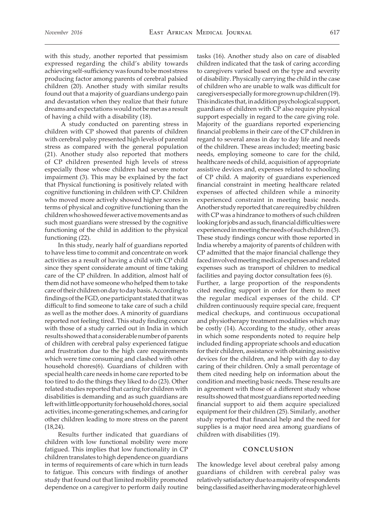with this study, another reported that pessimism expressed regarding the child's ability towards achieving self-sufficiency was found to be most stress producing factor among parents of cerebral palsied children (20). Another study with similar results found out that a majority of guardians undergo pain and devastation when they realize that their future dreams and expectations would not be met as a result of having a child with a disability (18).

 A study conducted on parenting stress in children with CP showed that parents of children with cerebral palsy presented high levels of parental stress as compared with the general population (21). Another study also reported that mothers of CP children presented high levels of stress especially those whose children had severe motor impairment (3). This may be explained by the fact that Physical functioning is positively related with cognitive functioning in children with CP. Children who moved more actively showed higher scores in terms of physical and cognitive functioning than the children who showed fewer active movements and as such most guardians were stressed by the cognitive functioning of the child in addition to the physical functioning (22).

In this study, nearly half of guardians reported to have less time to commit and concentrate on work activities as a result of having a child with CP child since they spent considerate amount of time taking care of the CP children. In addition, almost half of them did not have someone who helped them to take care of their children on day to day basis. According to findings of the FGD, one participant stated that it was difficult to find someone to take care of such a child as well as the mother does. A minority of guardians reported not feeling tired. This study finding concur with those of a study carried out in India in which results showed that a considerable number of parents of children with cerebral palsy experienced fatigue and frustration due to the high care requirements which were time consuming and clashed with other household chores(6). Guardians of children with special health care needs in home care reported to be too tired to do the things they liked to do (23). Other related studies reported that caring for children with disabilities is demanding and as such guardians are left with little opportunity for household chores, social activities, income-generating schemes, and caring for other children leading to more stress on the parent (18,24).

Results further indicated that guardians of children with low functional mobility were more fatigued. This implies that low functionality in CP children translates to high dependence on guardians in terms of requirements of care which in turn leads to fatigue. This concurs with findings of another study that found out that limited mobility promoted dependence on a caregiver to perform daily routine

tasks (16). Another study also on care of disabled children indicated that the task of caring according to caregivers varied based on the type and severity of disability. Physically carrying the child in the case of children who are unable to walk was difficult for caregivers especially for more grown up children (19). This indicates that, in addition psychological support, guardians of children with CP also require physical support especially in regard to the care giving role. Majority of the guardians reported experiencing financial problems in their care of the CP children in regard to several areas in day to day life and needs of the children. These areas included; meeting basic needs, employing someone to care for the child, healthcare needs of child, acquisition of appropriate assistive devices and, expenses related to schooling of CP child. A majority of guardians experienced financial constraint in meeting healthcare related expenses of affected children while a minority experienced constraint in meeting basic needs. Another study reported that care required by children with CP was a hindrance to mothers of such children looking for jobs and as such, financial difficulties were experienced in meeting the needs of such children (3). These study findings concur with those reported in India whereby a majority of parents of children with CP admitted that the major financial challenge they faced involved meeting medical expenses and related expenses such as transport of children to medical facilities and paying doctor consultation fees (6).

Further, a large proportion of the respondents cited needing support in order for them to meet the regular medical expenses of the child. CP children continuously require special care, frequent medical checkups, and continuous occupational and physiotherapy treatment modalities which may be costly (14). According to the study, other areas in which some respondents noted to require help included finding appropriate schools and education for their children, assistance with obtaining assistive devices for the children, and help with day to day caring of their children. Only a small percentage of them cited needing help on information about the condition and meeting basic needs. These results are in agreement with those of a different study whose results showed that most guardians reported needing financial support to aid them acquire specialized equipment for their children (25). Similarly, another study reported that financial help and the need for supplies is a major need area among guardians of children with disabilities (19).

### **CONCLUSION**

The knowledge level about cerebral palsy among guardians of children with cerebral palsy was relatively satisfactory due to a majority of respondents being classified as either having moderate or high level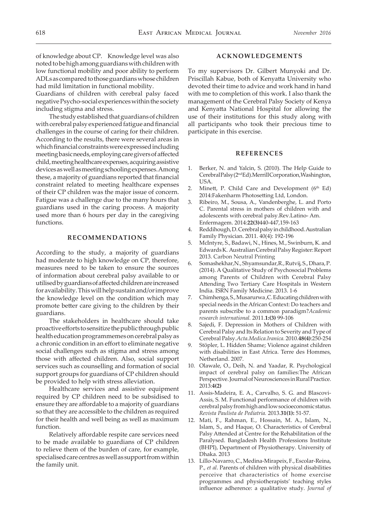of knowledge about CP. Knowledge level was also noted to be high among guardians with children with low functional mobility and poor ability to perform ADLs as compared to those guardians whose children had mild limitation in functional mobility.

Guardians of children with cerebral palsy faced negative Psycho-social experiences within the society including stigma and stress.

The study established that guardians of children with cerebral palsy experienced fatigue and financial challenges in the course of caring for their children. According to the results, there were several areas in which financial constraints were expressed including meeting basic needs, employing care givers of affected child, meeting healthcare expenses, acquiring assistive devices as well as meeting schooling expenses. Among these, a majority of guardians reported that financial constraint related to meeting healthcare expenses of their CP children was the major issue of concern. Fatigue was a challenge due to the many hours that guardians used in the caring process. A majority used more than 6 hours per day in the caregiving functions.

## **RECOMMENDATIONS**

According to the study, a majority of guardians had moderate to high knowledge on CP, therefore, measures need to be taken to ensure the sources of information about cerebral palsy available to or utilised by guardians of affected children are increased for availability. This will help sustain and/or improve the knowledge level on the condition which may promote better care giving to the children by their guardians.

The stakeholders in healthcare should take proactive efforts to sensitize the public through public health education programmemes on cerebral palsy as a chronic condition in an effort to eliminate negative social challenges such as stigma and stress among those with affected children. Also, social support services such as counselling and formation of social support groups for guardians of CP children should be provided to help with stress alleviation.

Healthcare services and assistive equipment required by CP children need to be subsidised to ensure they are affordable to a majority of guardians so that they are accessible to the children as required for their health and well being as well as maximum function.

Relatively affordable respite care services need to be made available to guardians of CP children to relieve them of the burden of care, for example, specialised care centres as well as support from within the family unit.

#### **ACKNOWLEDGEMENTS**

To my supervisors Dr. Gilbert Munyoki and Dr. Priscillah Kabue, both of Kenyatta University who devoted their time to advice and work hand in hand with me to completion of this work. I also thank the management of the Cerebral Palsy Society of Kenya and Kenyatta National Hospital for allowing the use of their institutions for this study along with all participants who took their precious time to participate in this exercise.

#### **REFERENCES**

- 1. Berker, N. and Yalcin, S. (2010). The Help Guide to Cerebral Palsy (2nd Ed).Merrill Corporation,Washington, USA.
- 2. Minett, P. Child Care and Development  $(6<sup>th</sup> Ed)$ 2014:Fakenharm Photosetting Ltd, London.
- 3. Ribeiro, M., Sousa, A., Vandenberghe, L. and Porto C. Parental stress in mothers of children with and adolescents with cerebral palsy.Rev.Latino- Am. Enfermagem. 2014:**22(3)**440-447,159-163
- 4. Reddihough, D. Cerebral palsy in childhood. Australian Family Physician. 2011. 40(4): 192-196
- 5. McIntyre, S., Badawi, N., Hines, M., Swinburn, K. and Edwards K. Australian Cerebral Palsy Register: Report 2013. Carbon Neutral Printing
- 6. Somashekhar,N., Shyamsundar,R., Rutvij, S., Dhara, P. (2014). A Qualitative Study of Psychosocial Problems among Parents of Children with Cerebral Palsy Attending Two Tertiary Care Hospitals in Western India. ISRN Family Medicine. 2013. 1-6
- 7. Chimhenga, S., Musarurwa ,C. Educating children with special needs in the African Context: Do teachers and parents subscribe to a common paradigm?*Academic research international.* 2011.**1:(3)** 99-106
- 8. Sajedi, F. Depression in Mothers of Children with Cerebral Palsy and Its Relation to Severity and Type of Cerebral Palsy.*Acta.Medica.Iranica.* 2010.**48(4)**:250-254
- 9. Stöpler, L. Hidden Shame; Violence against children with disabilities in East Africa. Terre des Hommes, Netherland. 2007.
- 10. Olawale, O., Deih, N. and Yaadar, R. Psychological impact of cerebral palsy on families:The African Perspective. Journal of Neurosciences in Rural Practice. 2013:**4(2)**
- 11. Assis-Madeira, E. A., Carvalho, S. G. and Blascovi-Assis, S. M. Functional performance of children with cerebral palsy from high and low socioeconomic status. *Revista Paulista de Pediatria.* 2013.**31(1):** 51-57.
- 12. Mati, F., Rahman, E., Hossain, M. A., Islam, N., Islam, S., and Haque, O. Characteristics of Cerebral Palsy Attended at Centre for the Rehabilitation of the Paralysed. Bangladesh Health Professions Institute (BHPI), Department of Physiotherapy. University of Dhaka. 2013
- 13. Lillo-Navarro, C., Medina-Mirapeix, F., Escolar-Reina, P., *et al*. Parents of children with physical disabilities perceive that characteristics of home exercise programmes and physiotherapists' teaching styles influence adherence: a qualitative study. *Journal of*